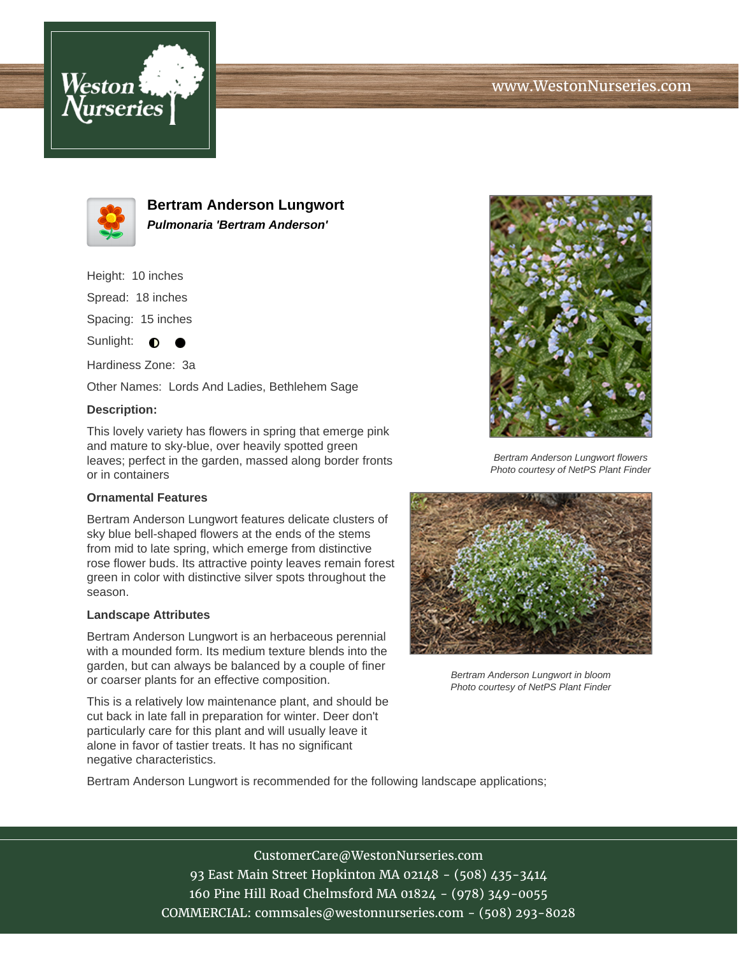



**Bertram Anderson Lungwort Pulmonaria 'Bertram Anderson'**

Height: 10 inches

Spread: 18 inches

Spacing: 15 inches

Sunlight:  $\bullet$ 

Hardiness Zone: 3a

Other Names: Lords And Ladies, Bethlehem Sage

## **Description:**

This lovely variety has flowers in spring that emerge pink and mature to sky-blue, over heavily spotted green leaves; perfect in the garden, massed along border fronts or in containers

## **Ornamental Features**

Bertram Anderson Lungwort features delicate clusters of sky blue bell-shaped flowers at the ends of the stems from mid to late spring, which emerge from distinctive rose flower buds. Its attractive pointy leaves remain forest green in color with distinctive silver spots throughout the season.

## **Landscape Attributes**

Bertram Anderson Lungwort is an herbaceous perennial with a mounded form. Its medium texture blends into the garden, but can always be balanced by a couple of finer or coarser plants for an effective composition.

This is a relatively low maintenance plant, and should be cut back in late fall in preparation for winter. Deer don't particularly care for this plant and will usually leave it alone in favor of tastier treats. It has no significant negative characteristics.



Bertram Anderson Lungwort flowers Photo courtesy of NetPS Plant Finder



Bertram Anderson Lungwort in bloom Photo courtesy of NetPS Plant Finder

Bertram Anderson Lungwort is recommended for the following landscape applications;

CustomerCare@WestonNurseries.com 93 East Main Street Hopkinton MA 02148 - (508) 435-3414 160 Pine Hill Road Chelmsford MA 01824 - (978) 349-0055 COMMERCIAL: commsales@westonnurseries.com - (508) 293-8028